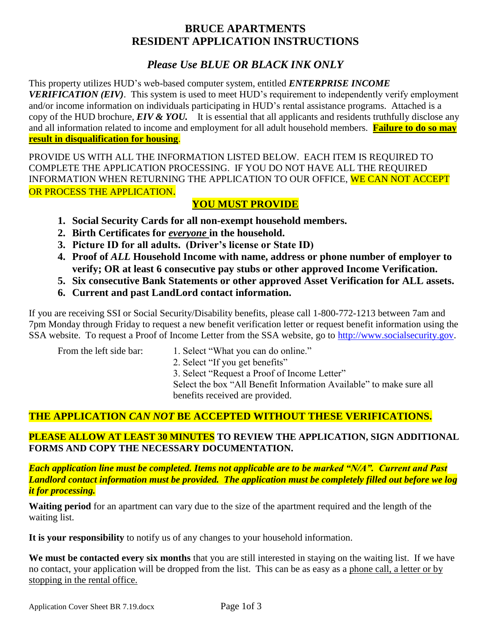# **BRUCE APARTMENTS RESIDENT APPLICATION INSTRUCTIONS**

# *Please Use BLUE OR BLACK INK ONLY*

This property utilizes HUD's web-based computer system, entitled *ENTERPRISE INCOME VERIFICATION (EIV)*. This system is used to meet HUD's requirement to independently verify employment and/or income information on individuals participating in HUD's rental assistance programs. Attached is a copy of the HUD brochure, *EIV & YOU.* It is essential that all applicants and residents truthfully disclose any and all information related to income and employment for all adult household members. **Failure to do so may result in disqualification for housing**.

PROVIDE US WITH ALL THE INFORMATION LISTED BELOW. EACH ITEM IS REQUIRED TO COMPLETE THE APPLICATION PROCESSING. IF YOU DO NOT HAVE ALL THE REQUIRED INFORMATION WHEN RETURNING THE APPLICATION TO OUR OFFICE, WE CAN NOT ACCEPT OR PROCESS THE APPLICATION.

# **YOU MUST PROVIDE**

- **1. Social Security Cards for all non-exempt household members.**
- **2. Birth Certificates for** *everyone* **in the household.**
- **3. Picture ID for all adults. (Driver's license or State ID)**
- **4. Proof of** *ALL* **Household Income with name, address or phone number of employer to verify; OR at least 6 consecutive pay stubs or other approved Income Verification.**
- **5. Six consecutive Bank Statements or other approved Asset Verification for ALL assets.**
- **6. Current and past LandLord contact information.**

If you are receiving SSI or Social Security/Disability benefits, please call 1-800-772-1213 between 7am and 7pm Monday through Friday to request a new benefit verification letter or request benefit information using the SSA website. To request a Proof of Income Letter from the SSA website, go to [http://www.socialsecurity.gov.](http://www.socialsecurity.gov/)

- From the left side bar: 1. Select "What you can do online."
	- 2. Select "If you get benefits"

3. Select "Request a Proof of Income Letter"

Select the box "All Benefit Information Available" to make sure all benefits received are provided.

# **THE APPLICATION** *CAN NOT* **BE ACCEPTED WITHOUT THESE VERIFICATIONS.**

## **PLEASE ALLOW AT LEAST 30 MINUTES TO REVIEW THE APPLICATION, SIGN ADDITIONAL FORMS AND COPY THE NECESSARY DOCUMENTATION.**

*Each application line must be completed. Items not applicable are to be marked "N/A". Current and Past Landlord contact information must be provided. The application must be completely filled out before we log it for processing.*

**Waiting period** for an apartment can vary due to the size of the apartment required and the length of the waiting list.

**It is your responsibility** to notify us of any changes to your household information.

**We must be contacted every six months** that you are still interested in staying on the waiting list. If we have no contact, your application will be dropped from the list. This can be as easy as a phone call, a letter or by stopping in the rental office.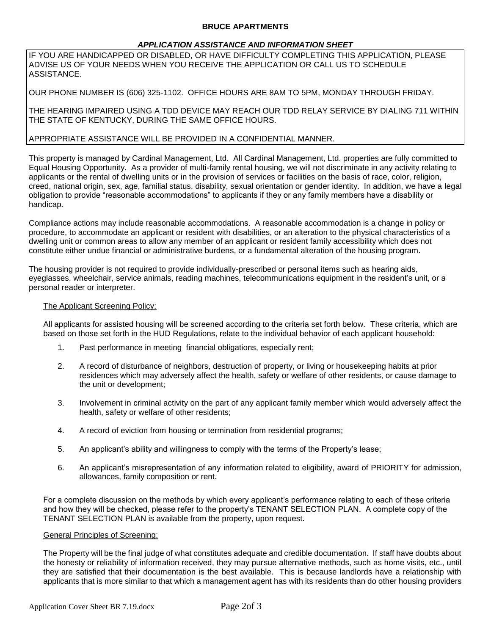## **BRUCE APARTMENTS**

## *APPLICATION ASSISTANCE AND INFORMATION SHEET*

IF YOU ARE HANDICAPPED OR DISABLED, OR HAVE DIFFICULTY COMPLETING THIS APPLICATION, PLEASE ADVISE US OF YOUR NEEDS WHEN YOU RECEIVE THE APPLICATION OR CALL US TO SCHEDULE ASSISTANCE.

OUR PHONE NUMBER IS (606) 325-1102. OFFICE HOURS ARE 8AM TO 5PM, MONDAY THROUGH FRIDAY.

THE HEARING IMPAIRED USING A TDD DEVICE MAY REACH OUR TDD RELAY SERVICE BY DIALING 711 WITHIN THE STATE OF KENTUCKY, DURING THE SAME OFFICE HOURS.

## APPROPRIATE ASSISTANCE WILL BE PROVIDED IN A CONFIDENTIAL MANNER.

This property is managed by Cardinal Management, Ltd. All Cardinal Management, Ltd. properties are fully committed to Equal Housing Opportunity. As a provider of multi-family rental housing, we will not discriminate in any activity relating to applicants or the rental of dwelling units or in the provision of services or facilities on the basis of race, color, religion, creed, national origin, sex, age, familial status, disability, sexual orientation or gender identity. In addition, we have a legal obligation to provide "reasonable accommodations" to applicants if they or any family members have a disability or handicap.

Compliance actions may include reasonable accommodations. A reasonable accommodation is a change in policy or procedure, to accommodate an applicant or resident with disabilities, or an alteration to the physical characteristics of a dwelling unit or common areas to allow any member of an applicant or resident family accessibility which does not constitute either undue financial or administrative burdens, or a fundamental alteration of the housing program.

The housing provider is not required to provide individually-prescribed or personal items such as hearing aids, eyeglasses, wheelchair, service animals, reading machines, telecommunications equipment in the resident's unit, or a personal reader or interpreter.

## The Applicant Screening Policy:

All applicants for assisted housing will be screened according to the criteria set forth below. These criteria, which are based on those set forth in the HUD Regulations, relate to the individual behavior of each applicant household:

- 1. Past performance in meeting financial obligations, especially rent;
- 2. A record of disturbance of neighbors, destruction of property, or living or housekeeping habits at prior residences which may adversely affect the health, safety or welfare of other residents, or cause damage to the unit or development;
- 3. Involvement in criminal activity on the part of any applicant family member which would adversely affect the health, safety or welfare of other residents;
- 4. A record of eviction from housing or termination from residential programs;
- 5. An applicant's ability and willingness to comply with the terms of the Property's lease;
- 6. An applicant's misrepresentation of any information related to eligibility, award of PRIORITY for admission, allowances, family composition or rent.

For a complete discussion on the methods by which every applicant's performance relating to each of these criteria and how they will be checked, please refer to the property's TENANT SELECTION PLAN. A complete copy of the TENANT SELECTION PLAN is available from the property, upon request.

#### General Principles of Screening:

The Property will be the final judge of what constitutes adequate and credible documentation. If staff have doubts about the honesty or reliability of information received, they may pursue alternative methods, such as home visits, etc., until they are satisfied that their documentation is the best available. This is because landlords have a relationship with applicants that is more similar to that which a management agent has with its residents than do other housing providers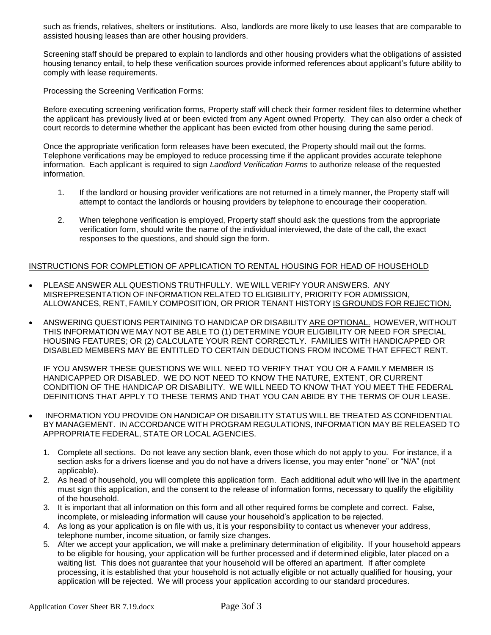such as friends, relatives, shelters or institutions. Also, landlords are more likely to use leases that are comparable to assisted housing leases than are other housing providers.

Screening staff should be prepared to explain to landlords and other housing providers what the obligations of assisted housing tenancy entail, to help these verification sources provide informed references about applicant's future ability to comply with lease requirements.

## Processing the Screening Verification Forms:

Before executing screening verification forms, Property staff will check their former resident files to determine whether the applicant has previously lived at or been evicted from any Agent owned Property. They can also order a check of court records to determine whether the applicant has been evicted from other housing during the same period.

Once the appropriate verification form releases have been executed, the Property should mail out the forms. Telephone verifications may be employed to reduce processing time if the applicant provides accurate telephone information. Each applicant is required to sign *Landlord Verification Forms* to authorize release of the requested information.

- 1. If the landlord or housing provider verifications are not returned in a timely manner, the Property staff will attempt to contact the landlords or housing providers by telephone to encourage their cooperation.
- 2. When telephone verification is employed, Property staff should ask the questions from the appropriate verification form, should write the name of the individual interviewed, the date of the call, the exact responses to the questions, and should sign the form.

## INSTRUCTIONS FOR COMPLETION OF APPLICATION TO RENTAL HOUSING FOR HEAD OF HOUSEHOLD

- PLEASE ANSWER ALL QUESTIONS TRUTHFULLY. WE WILL VERIFY YOUR ANSWERS. ANY MISREPRESENTATION OF INFORMATION RELATED TO ELIGIBILITY, PRIORITY FOR ADMISSION, ALLOWANCES, RENT, FAMILY COMPOSITION, OR PRIOR TENANT HISTORY IS GROUNDS FOR REJECTION.
- ANSWERING QUESTIONS PERTAINING TO HANDICAP OR DISABILITY ARE OPTIONAL. HOWEVER, WITHOUT THIS INFORMATION WE MAY NOT BE ABLE TO (1) DETERMINE YOUR ELIGIBILITY OR NEED FOR SPECIAL HOUSING FEATURES; OR (2) CALCULATE YOUR RENT CORRECTLY. FAMILIES WITH HANDICAPPED OR DISABLED MEMBERS MAY BE ENTITLED TO CERTAIN DEDUCTIONS FROM INCOME THAT EFFECT RENT.

IF YOU ANSWER THESE QUESTIONS WE WILL NEED TO VERIFY THAT YOU OR A FAMILY MEMBER IS HANDICAPPED OR DISABLED. WE DO NOT NEED TO KNOW THE NATURE, EXTENT, OR CURRENT CONDITION OF THE HANDICAP OR DISABILITY. WE WILL NEED TO KNOW THAT YOU MEET THE FEDERAL DEFINITIONS THAT APPLY TO THESE TERMS AND THAT YOU CAN ABIDE BY THE TERMS OF OUR LEASE.

- INFORMATION YOU PROVIDE ON HANDICAP OR DISABILITY STATUS WILL BE TREATED AS CONFIDENTIAL BY MANAGEMENT. IN ACCORDANCE WITH PROGRAM REGULATIONS, INFORMATION MAY BE RELEASED TO APPROPRIATE FEDERAL, STATE OR LOCAL AGENCIES.
	- 1. Complete all sections. Do not leave any section blank, even those which do not apply to you. For instance, if a section asks for a drivers license and you do not have a drivers license, you may enter "none" or "N/A" (not applicable).
	- 2. As head of household, you will complete this application form. Each additional adult who will live in the apartment must sign this application, and the consent to the release of information forms, necessary to qualify the eligibility of the household.
	- 3. It is important that all information on this form and all other required forms be complete and correct. False, incomplete, or misleading information will cause your household's application to be rejected.
	- 4. As long as your application is on file with us, it is your responsibility to contact us whenever your address, telephone number, income situation, or family size changes.
	- 5. After we accept your application, we will make a preliminary determination of eligibility. If your household appears to be eligible for housing, your application will be further processed and if determined eligible, later placed on a waiting list. This does not guarantee that your household will be offered an apartment. If after complete processing, it is established that your household is not actually eligible or not actually qualified for housing, your application will be rejected. We will process your application according to our standard procedures.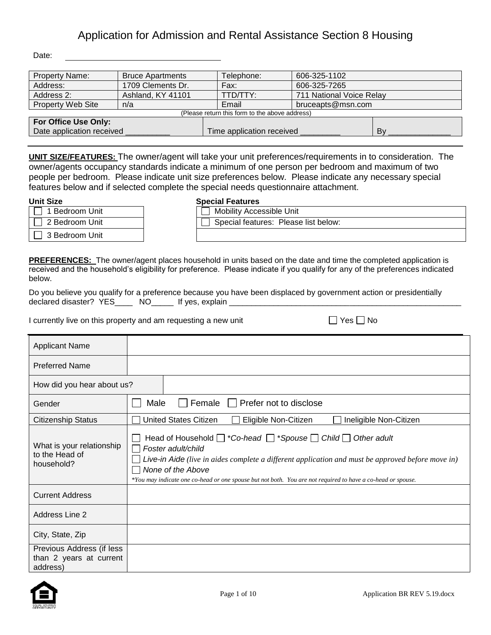Date:

| <b>Property Name:</b>           | <b>Bruce Apartments</b> | Telephone:                                     | 606-325-1102             |    |  |
|---------------------------------|-------------------------|------------------------------------------------|--------------------------|----|--|
| Address:                        | 1709 Clements Dr.       |                                                | 606-325-7265             |    |  |
| Ashland, KY 41101<br>Address 2: |                         | TTD/TTY:                                       | 711 National Voice Relay |    |  |
| <b>Property Web Site</b><br>n/a |                         | Email                                          | bruceapts@msn.com        |    |  |
|                                 |                         | (Please return this form to the above address) |                          |    |  |
| For Office Use Only:            |                         |                                                |                          |    |  |
| Date application received       |                         | Time application received                      |                          | Bv |  |

**UNIT SIZE/FEATURES:** The owner/agent will take your unit preferences/requirements in to consideration. The owner/agents occupancy standards indicate a minimum of one person per bedroom and maximum of two people per bedroom. Please indicate unit size preferences below. Please indicate any necessary special features below and if selected complete the special needs questionnaire attachment.

#### **Unit Size**

| ---------      | .                               |
|----------------|---------------------------------|
| 1 Bedroom Unit | <b>Mobility Accessible Unit</b> |
| 2 Bedroom Unit | <b>Special features: Pleas</b>  |
| 3 Bedroom Unit |                                 |

| ι əize         | Special Features                     |
|----------------|--------------------------------------|
| 1 Bedroom Unit | <b>Mobility Accessible Unit</b>      |
| 2 Bedroom Unit | Special features: Please list below: |
| 3 Bedroom Unit |                                      |

**PREFERENCES:** The owner/agent places household in units based on the date and time the completed application is received and the household's eligibility for preference. Please indicate if you qualify for any of the preferences indicated below.

Do you believe you qualify for a preference because you have been displaced by government action or presidentially declared disaster? YES\_\_\_\_\_ NO\_\_\_\_\_ If yes, explain \_\_\_\_\_

I currently live on this property and am requesting a new unit  $\Box$  Yes  $\Box$  No

| <b>Applicant Name</b>                                            |                                                                                                                                                                                                                                                                                                                                                 |
|------------------------------------------------------------------|-------------------------------------------------------------------------------------------------------------------------------------------------------------------------------------------------------------------------------------------------------------------------------------------------------------------------------------------------|
| <b>Preferred Name</b>                                            |                                                                                                                                                                                                                                                                                                                                                 |
| How did you hear about us?                                       |                                                                                                                                                                                                                                                                                                                                                 |
| Gender                                                           | Female  <br>Prefer not to disclose<br>Male                                                                                                                                                                                                                                                                                                      |
| <b>Citizenship Status</b>                                        | <b>United States Citizen</b><br>Eligible Non-Citizen<br>Ineligible Non-Citizen                                                                                                                                                                                                                                                                  |
| What is your relationship<br>to the Head of<br>household?        | Head of Household $\Box$ *Co-head $\Box$ *Spouse $\Box$ Child $\Box$ Other adult<br>Foster adult/child<br>Live-in Aide (live in aides complete a different application and must be approved before move in)<br>None of the Above<br>*You may indicate one co-head or one spouse but not both. You are not required to have a co-head or spouse. |
| <b>Current Address</b>                                           |                                                                                                                                                                                                                                                                                                                                                 |
| Address Line 2                                                   |                                                                                                                                                                                                                                                                                                                                                 |
| City, State, Zip                                                 |                                                                                                                                                                                                                                                                                                                                                 |
| Previous Address (if less<br>than 2 years at current<br>address) |                                                                                                                                                                                                                                                                                                                                                 |

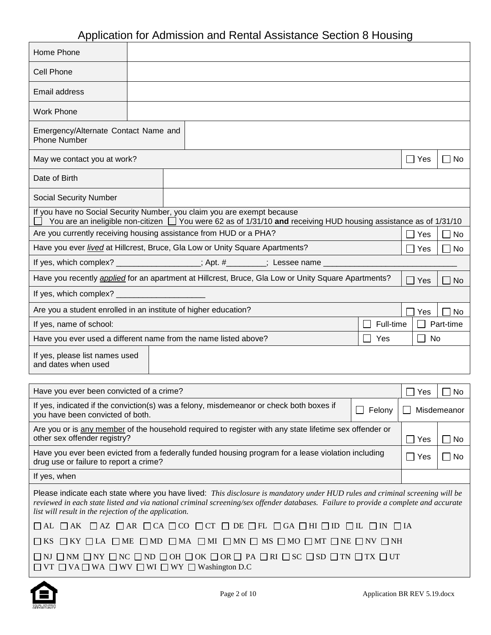| Home Phone                                                                                                                                                                                                                                                                                                                    |  |                                                                                                                       |           |               |             |
|-------------------------------------------------------------------------------------------------------------------------------------------------------------------------------------------------------------------------------------------------------------------------------------------------------------------------------|--|-----------------------------------------------------------------------------------------------------------------------|-----------|---------------|-------------|
| <b>Cell Phone</b>                                                                                                                                                                                                                                                                                                             |  |                                                                                                                       |           |               |             |
| Email address                                                                                                                                                                                                                                                                                                                 |  |                                                                                                                       |           |               |             |
| <b>Work Phone</b>                                                                                                                                                                                                                                                                                                             |  |                                                                                                                       |           |               |             |
| Emergency/Alternate Contact Name and<br><b>Phone Number</b>                                                                                                                                                                                                                                                                   |  |                                                                                                                       |           |               |             |
| May we contact you at work?                                                                                                                                                                                                                                                                                                   |  |                                                                                                                       |           | $\Box$ Yes    | ∣ ∣ No      |
| Date of Birth                                                                                                                                                                                                                                                                                                                 |  |                                                                                                                       |           |               |             |
| <b>Social Security Number</b>                                                                                                                                                                                                                                                                                                 |  |                                                                                                                       |           |               |             |
| If you have no Social Security Number, you claim you are exempt because                                                                                                                                                                                                                                                       |  | You are an ineligible non-citizen $\Box$ You were 62 as of 1/31/10 and receiving HUD housing assistance as of 1/31/10 |           |               |             |
| Are you currently receiving housing assistance from HUD or a PHA?                                                                                                                                                                                                                                                             |  |                                                                                                                       |           | Yes           | $\Box$ No   |
| Have you ever lived at Hillcrest, Bruce, Gla Low or Unity Square Apartments?                                                                                                                                                                                                                                                  |  |                                                                                                                       |           | Yes           | No          |
| If yes, which complex? ________________; Apt. #_______; Lessee name ____                                                                                                                                                                                                                                                      |  |                                                                                                                       |           |               |             |
| Have you recently <i>applied</i> for an apartment at Hillcrest, Bruce, Gla Low or Unity Square Apartments?                                                                                                                                                                                                                    |  |                                                                                                                       |           | Yes           | ∣ ∣No       |
| If yes, which complex?                                                                                                                                                                                                                                                                                                        |  |                                                                                                                       |           |               |             |
| Are you a student enrolled in an institute of higher education?                                                                                                                                                                                                                                                               |  |                                                                                                                       |           | Yes           | No          |
| If yes, name of school:                                                                                                                                                                                                                                                                                                       |  |                                                                                                                       | Full-time |               | Part-time   |
| Have you ever used a different name from the name listed above?                                                                                                                                                                                                                                                               |  |                                                                                                                       | Yes       | No            |             |
| If yes, please list names used<br>and dates when used                                                                                                                                                                                                                                                                         |  |                                                                                                                       |           |               |             |
| Have you ever been convicted of a crime?                                                                                                                                                                                                                                                                                      |  |                                                                                                                       |           |               |             |
|                                                                                                                                                                                                                                                                                                                               |  |                                                                                                                       |           | Yes           | No.         |
| If yes, indicated if the conviction(s) was a felony, misdemeanor or check both boxes if<br>you have been convicted of both.                                                                                                                                                                                                   |  |                                                                                                                       | Felony    |               | Misdemeanor |
| Are you or is any member of the household required to register with any state lifetime sex offender or<br>other sex offender registry?                                                                                                                                                                                        |  |                                                                                                                       |           | Yes           | $\Box$ No   |
| Have you ever been evicted from a federally funded housing program for a lease violation including<br>drug use or failure to report a crime?                                                                                                                                                                                  |  |                                                                                                                       |           | $\square$ Yes | $\Box$ No   |
| If yes, when                                                                                                                                                                                                                                                                                                                  |  |                                                                                                                       |           |               |             |
| Please indicate each state where you have lived: This disclosure is mandatory under HUD rules and criminal screening will be<br>reviewed in each state listed and via national criminal screening/sex offender databases. Failure to provide a complete and accurate<br>list will result in the rejection of the application. |  |                                                                                                                       |           |               |             |
| $\Box$ AL $\Box$ AK $\Box$ AZ $\Box$ AR $\Box$ CA $\Box$ CO $\Box$ CT $\Box$ DE $\Box$ FL $\Box$ GA $\Box$ HI $\Box$ ID $\Box$ IL $\Box$ IN $\Box$ IA                                                                                                                                                                         |  |                                                                                                                       |           |               |             |
| $\square$ KS $\square$ KY $\square$ LA $\square$ ME $\square$ MD $\square$ MA $\square$ MI $\square$ MN $\square$ MS $\square$ MO $\square$ MT $\square$ NE $\square$ NV $\square$ NH                                                                                                                                         |  |                                                                                                                       |           |               |             |
| $\square$ NI $\square$ NM $\square$ NY $\square$ NC $\square$ ND $\square$ OH $\square$ OK $\square$ OR $\square$ PA $\square$ RI $\square$ SC $\square$ SD $\square$ TN $\square$ TX $\square$ UT<br>$\Box$ VT $\Box$ VA $\Box$ WA $\Box$ WV $\Box$ WI $\Box$ WY $\Box$ Washington D.C                                       |  |                                                                                                                       |           |               |             |



 $\mathsf{r}$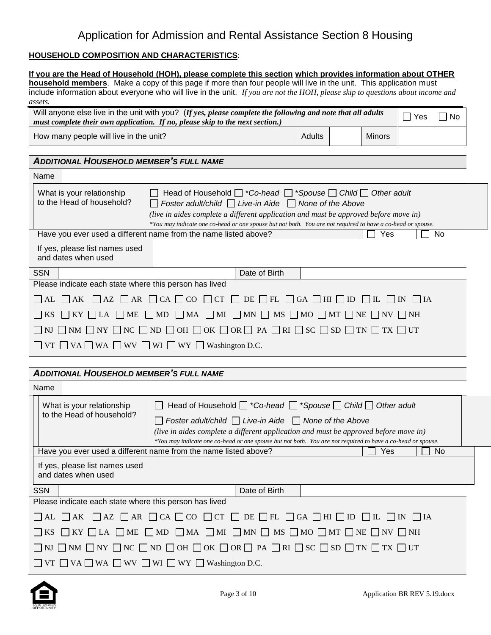## **HOUSEHOLD COMPOSITION AND CHARACTERISTICS**:

|                                                                                    | If you are the Head of Household (HOH), please complete this section which provides information about OTHER<br>household members. Make a copy of this page if more than four people will live in the unit. This application must                                                                                                                           |        |               |                         |           |  |
|------------------------------------------------------------------------------------|------------------------------------------------------------------------------------------------------------------------------------------------------------------------------------------------------------------------------------------------------------------------------------------------------------------------------------------------------------|--------|---------------|-------------------------|-----------|--|
|                                                                                    | include information about everyone who will live in the unit. If you are not the HOH, please skip to questions about income and                                                                                                                                                                                                                            |        |               |                         |           |  |
| assets.                                                                            |                                                                                                                                                                                                                                                                                                                                                            |        |               |                         |           |  |
|                                                                                    | Will anyone else live in the unit with you? (If yes, please complete the following and note that all adults<br>must complete their own application. If no, please skip to the next section.)                                                                                                                                                               |        |               | $\mathcal{L}$<br>Yes    | $\Box$ No |  |
| How many people will live in the unit?                                             |                                                                                                                                                                                                                                                                                                                                                            | Adults | <b>Minors</b> |                         |           |  |
| <b>ADDITIONAL HOUSEHOLD MEMBER'S FULL NAME</b>                                     |                                                                                                                                                                                                                                                                                                                                                            |        |               |                         |           |  |
| Name                                                                               |                                                                                                                                                                                                                                                                                                                                                            |        |               |                         |           |  |
| What is your relationship<br>to the Head of household?                             | Head of Household $\Box$ *Co-head $\Box$ *Spouse $\Box$ Child $\Box$ Other adult<br>Foster adult/child $\Box$ Live-in Aide $\Box$ None of the Above<br>(live in aides complete a different application and must be approved before move in)<br>*You may indicate one co-head or one spouse but not both. You are not required to have a co-head or spouse. |        |               |                         |           |  |
|                                                                                    | Have you ever used a different name from the name listed above?                                                                                                                                                                                                                                                                                            |        | Yes           |                         | No        |  |
| If yes, please list names used<br>and dates when used                              |                                                                                                                                                                                                                                                                                                                                                            |        |               |                         |           |  |
| <b>SSN</b>                                                                         | Date of Birth                                                                                                                                                                                                                                                                                                                                              |        |               |                         |           |  |
| Please indicate each state where this person has lived                             |                                                                                                                                                                                                                                                                                                                                                            |        |               |                         |           |  |
| $ $ $ $ AK<br>$\overline{\phantom{a}}$ AL                                          | $\Box$ AZ $\Box$ AR $\Box$ CA $\Box$ CO $\Box$ CT $\Box$ DE $\Box$ FL $\Box$ GA $\Box$ HI $\Box$ ID $\Box$ IL $\Box$ IN $\Box$ IA                                                                                                                                                                                                                          |        |               |                         |           |  |
| ME<br>$KY \prod LA$<br>$\perp$                                                     | $\Box$ MD $\Box$ MA $\Box$ MI $\Box$ MN $\Box$ MS $\Box$ MO $\Box$ MT $\Box$ NE $\Box$ NV $\Box$ NH                                                                                                                                                                                                                                                        |        |               |                         |           |  |
|                                                                                    | $\square$ nj $\square$ nm $\square$ ny $\square$ nc $\square$ nd $\square$ oh $\square$ ok $\square$ or $\square$ pa $\square$ ri $\square$ sc $\square$ sd $\square$ tn $\square$ tx $\square$ ut                                                                                                                                                         |        |               |                         |           |  |
| $\Box$ VT $\Box$ VA $\Box$ WA $\Box$ WV $\Box$ WI $\Box$ WY $\Box$ Washington D.C. |                                                                                                                                                                                                                                                                                                                                                            |        |               |                         |           |  |
|                                                                                    |                                                                                                                                                                                                                                                                                                                                                            |        |               |                         |           |  |
| <b>ADDITIONAL HOUSEHOLD MEMBER'S FULL NAME</b>                                     |                                                                                                                                                                                                                                                                                                                                                            |        |               |                         |           |  |
| Name                                                                               |                                                                                                                                                                                                                                                                                                                                                            |        |               |                         |           |  |
| What is your relationship                                                          | Head of Household $\Box$ *Co-head $\Box$ *Spouse $\Box$ Child $\Box$ Other adult<br>$\mathsf{L}$                                                                                                                                                                                                                                                           |        |               |                         |           |  |
| to the Head of household?                                                          | Foster adult/child $\Box$ Live-in Aide $\Box$ None of the Above                                                                                                                                                                                                                                                                                            |        |               |                         |           |  |
|                                                                                    | (live in aides complete a different application and must be approved before move in)                                                                                                                                                                                                                                                                       |        |               |                         |           |  |
|                                                                                    | *You may indicate one co-head or one spouse but not both. You are not required to have a co-head or spouse.<br>Have you ever used a different name from the name listed above?                                                                                                                                                                             |        | Yes           |                         | No        |  |
| If yes, please list names used<br>and dates when used                              |                                                                                                                                                                                                                                                                                                                                                            |        |               |                         |           |  |
|                                                                                    |                                                                                                                                                                                                                                                                                                                                                            |        |               |                         |           |  |
| <b>SSN</b><br>Please indicate each state where this person has lived               | Date of Birth                                                                                                                                                                                                                                                                                                                                              |        |               |                         |           |  |
| $\Box$ AK<br>    AL                                                                | $\Box$ AZ $\Box$ AR $\Box$ CA $\Box$ CO $\Box$ CT $\Box$ DE $\Box$ FL $\Box$ GA $\Box$ HI $\Box$ ID                                                                                                                                                                                                                                                        |        | $\Box$ IL     | $\Box$ IN<br>$\vert$ IA |           |  |
| $\Box$ KY $\Box$ LA<br>$\Box$ ME<br>KS                                             | $\Box$ MD $\Box$ MA $\Box$ MI $\Box$ MN $\Box$ MS $\Box$ MO $\Box$ MT $\Box$ NE $\Box$ NV $\Box$ NH                                                                                                                                                                                                                                                        |        |               |                         |           |  |
|                                                                                    | $\Box$ NM $\Box$ NY $\Box$ NC $\Box$ ND $\Box$ OH $\Box$ OK $\Box$ OR $\Box$ PA $\Box$ RI $\Box$ SC $\Box$ SD $\Box$ TN $\Box$ TX $\Box$ UT                                                                                                                                                                                                                |        |               |                         |           |  |
| $\Box$ VT $\Box$ VA $\Box$ WA $\Box$ WV $\Box$ WI $\Box$ WY $\Box$ Washington D.C. |                                                                                                                                                                                                                                                                                                                                                            |        |               |                         |           |  |

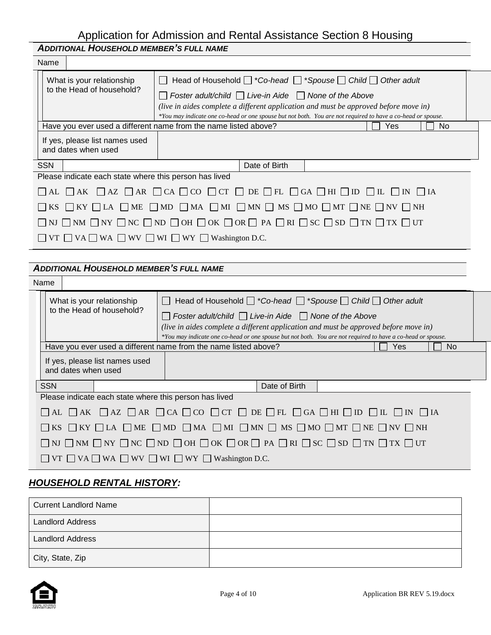|                                                                                                                                                       | <b>ADDITIONAL HOUSEHOLD MEMBER'S FULL NAME</b>                                       |                                                        |                                                                                                                                                                                                     |  |  |  |
|-------------------------------------------------------------------------------------------------------------------------------------------------------|--------------------------------------------------------------------------------------|--------------------------------------------------------|-----------------------------------------------------------------------------------------------------------------------------------------------------------------------------------------------------|--|--|--|
|                                                                                                                                                       | Name                                                                                 |                                                        |                                                                                                                                                                                                     |  |  |  |
| What is your relationship<br>to the Head of household?                                                                                                |                                                                                      |                                                        | $\Box$ Head of Household $\Box$ *Co-head $\Box$ *Spouse $\Box$ Child $\Box$ Other adult                                                                                                             |  |  |  |
|                                                                                                                                                       |                                                                                      |                                                        | $\Box$ Foster adult/child $\Box$ Live-in Aide $\Box$ None of the Above                                                                                                                              |  |  |  |
|                                                                                                                                                       |                                                                                      |                                                        | (live in aides complete a different application and must be approved before move in)<br>*You may indicate one co-head or one spouse but not both. You are not required to have a co-head or spouse. |  |  |  |
|                                                                                                                                                       | Have you ever used a different name from the name listed above?<br><b>Yes</b><br>No. |                                                        |                                                                                                                                                                                                     |  |  |  |
| If yes, please list names used<br>and dates when used                                                                                                 |                                                                                      |                                                        |                                                                                                                                                                                                     |  |  |  |
|                                                                                                                                                       | <b>SSN</b>                                                                           |                                                        | Date of Birth                                                                                                                                                                                       |  |  |  |
|                                                                                                                                                       |                                                                                      | Please indicate each state where this person has lived |                                                                                                                                                                                                     |  |  |  |
|                                                                                                                                                       |                                                                                      |                                                        | $\Box$ AL $\Box$ AZ $\Box$ AR $\Box$ CA $\Box$ CO $\Box$ CT $\Box$ DE $\Box$ FL $\Box$ GA $\Box$ HI $\Box$ ID $\Box$ IL $\Box$ IN $\Box$ IA                                                         |  |  |  |
| $\Box$ KS $\Box$ KY $\Box$ LA $\Box$ ME $\Box$ MD $\Box$ MA $\Box$ MI $\Box$ MN $\Box$ MS $\Box$ MO $\Box$ MT $\Box$ NE $\Box$ NV $\Box$ NH           |                                                                                      |                                                        |                                                                                                                                                                                                     |  |  |  |
| $\Box$ NJ $\Box$ NM $\Box$ NY $\Box$ NC $\Box$ ND $\Box$ OH $\Box$ OK $\Box$ OR $\Box$ PA $\Box$ RI $\Box$ SC $\Box$ SD $\Box$ TN $\Box$ TX $\Box$ UT |                                                                                      |                                                        |                                                                                                                                                                                                     |  |  |  |
|                                                                                                                                                       |                                                                                      |                                                        | $\Box$ VT $\Box$ VA $\Box$ WA $\Box$ WV $\Box$ WI $\Box$ WY $\Box$ Washington D.C.                                                                                                                  |  |  |  |
|                                                                                                                                                       |                                                                                      |                                                        |                                                                                                                                                                                                     |  |  |  |

## *ADDITIONAL HOUSEHOLD MEMBER'S FULL NAME*

|                                                                                                                                                                                                                                                                                                                                                                                                                             | <b>Name</b>                                                                                                                                           |  |  |                                                                                    |               |  |  |     |  |     |  |
|-----------------------------------------------------------------------------------------------------------------------------------------------------------------------------------------------------------------------------------------------------------------------------------------------------------------------------------------------------------------------------------------------------------------------------|-------------------------------------------------------------------------------------------------------------------------------------------------------|--|--|------------------------------------------------------------------------------------|---------------|--|--|-----|--|-----|--|
| Head of Household $\Box$ *Co-head $\Box$ *Spouse $\Box$ Child $\Box$ Other adult<br>What is your relationship<br>to the Head of household?<br>$\Box$ Foster adult/child $\Box$ Live-in Aide $\Box$ None of the Above<br>(live in aides complete a different application and must be approved before move in)<br>*You may indicate one co-head or one spouse but not both. You are not required to have a co-head or spouse. |                                                                                                                                                       |  |  |                                                                                    |               |  |  |     |  |     |  |
|                                                                                                                                                                                                                                                                                                                                                                                                                             |                                                                                                                                                       |  |  | Have you ever used a different name from the name listed above?                    |               |  |  | Yes |  | No. |  |
|                                                                                                                                                                                                                                                                                                                                                                                                                             | If yes, please list names used<br>and dates when used                                                                                                 |  |  |                                                                                    |               |  |  |     |  |     |  |
|                                                                                                                                                                                                                                                                                                                                                                                                                             | <b>SSN</b>                                                                                                                                            |  |  |                                                                                    | Date of Birth |  |  |     |  |     |  |
|                                                                                                                                                                                                                                                                                                                                                                                                                             |                                                                                                                                                       |  |  | Please indicate each state where this person has lived                             |               |  |  |     |  |     |  |
|                                                                                                                                                                                                                                                                                                                                                                                                                             | $\Box$ AL $\Box$ AK $\Box$ AZ $\Box$ AR $\Box$ CA $\Box$ CO $\Box$ CT $\Box$ DE $\Box$ FL $\Box$ GA $\Box$ HI $\Box$ ID $\Box$ IL $\Box$ IN $\Box$ IA |  |  |                                                                                    |               |  |  |     |  |     |  |
|                                                                                                                                                                                                                                                                                                                                                                                                                             | $\Box$ KS $\Box$ KY $\Box$ LA $\Box$ ME $\Box$ MD $\Box$ MA $\Box$ MI $\Box$ MN $\Box$ MS $\Box$ MO $\Box$ MT $\Box$ NE $\Box$ NV $\Box$ NH           |  |  |                                                                                    |               |  |  |     |  |     |  |
|                                                                                                                                                                                                                                                                                                                                                                                                                             | $\Box$ NJ $\Box$ NM $\Box$ NY $\Box$ NC $\Box$ ND $\Box$ OH $\Box$ OK $\Box$ OR $\Box$ PA $\Box$ RI $\Box$ SC $\Box$ SD $\Box$ TN $\Box$ TX $\Box$ UT |  |  |                                                                                    |               |  |  |     |  |     |  |
|                                                                                                                                                                                                                                                                                                                                                                                                                             |                                                                                                                                                       |  |  | $\Box$ VT $\Box$ VA $\Box$ WA $\Box$ WV $\Box$ WI $\Box$ WY $\Box$ Washington D.C. |               |  |  |     |  |     |  |

# *HOUSEHOLD RENTAL HISTORY:*

| <b>Current Landlord Name</b> |  |
|------------------------------|--|
| <b>Landlord Address</b>      |  |
| <b>Landlord Address</b>      |  |
| City, State, Zip             |  |

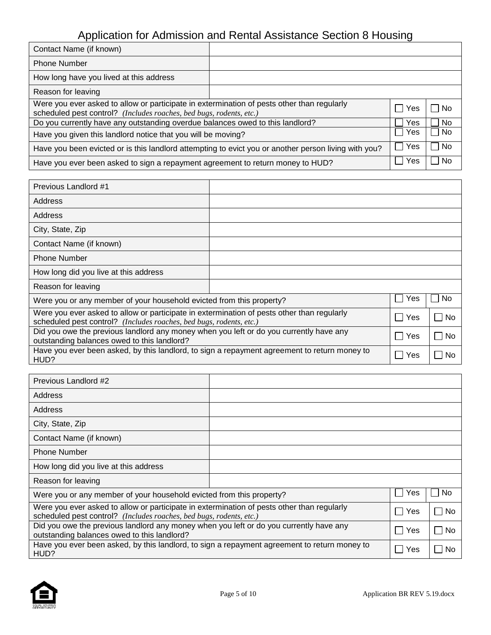| Contact Name (if known)                                                                                                                                           |  |            |           |
|-------------------------------------------------------------------------------------------------------------------------------------------------------------------|--|------------|-----------|
| <b>Phone Number</b>                                                                                                                                               |  |            |           |
| How long have you lived at this address                                                                                                                           |  |            |           |
| Reason for leaving                                                                                                                                                |  |            |           |
| Were you ever asked to allow or participate in extermination of pests other than regularly<br>scheduled pest control? (Includes roaches, bed bugs, rodents, etc.) |  |            | No        |
| Do you currently have any outstanding overdue balances owed to this landlord?                                                                                     |  | Yes        | No        |
| Have you given this landlord notice that you will be moving?                                                                                                      |  |            | <b>No</b> |
| Have you been evicted or is this landlord attempting to evict you or another person living with you?                                                              |  |            | No.       |
| Have you ever been asked to sign a repayment agreement to return money to HUD?                                                                                    |  | <b>Yes</b> | No        |

| Previous Landlord #1                                                                                                                                              |  |             |       |
|-------------------------------------------------------------------------------------------------------------------------------------------------------------------|--|-------------|-------|
| Address                                                                                                                                                           |  |             |       |
| Address                                                                                                                                                           |  |             |       |
| City, State, Zip                                                                                                                                                  |  |             |       |
| Contact Name (if known)                                                                                                                                           |  |             |       |
| <b>Phone Number</b>                                                                                                                                               |  |             |       |
| How long did you live at this address                                                                                                                             |  |             |       |
| Reason for leaving                                                                                                                                                |  |             |       |
| Were you or any member of your household evicted from this property?                                                                                              |  | Yes         | No.   |
| Were you ever asked to allow or participate in extermination of pests other than regularly<br>scheduled pest control? (Includes roaches, bed bugs, rodents, etc.) |  | Yes<br>a sa | ∣ ∣No |
| Did you owe the previous landlord any money when you left or do you currently have any<br>outstanding balances owed to this landlord?                             |  |             | No    |
| Have you ever been asked, by this landlord, to sign a repayment agreement to return money to<br>HUD?                                                              |  | Yes         | No    |

| Previous Landlord #2                                                                                                                                              |     |     |
|-------------------------------------------------------------------------------------------------------------------------------------------------------------------|-----|-----|
| Address                                                                                                                                                           |     |     |
| Address                                                                                                                                                           |     |     |
| City, State, Zip                                                                                                                                                  |     |     |
| Contact Name (if known)                                                                                                                                           |     |     |
| <b>Phone Number</b>                                                                                                                                               |     |     |
| How long did you live at this address                                                                                                                             |     |     |
| Reason for leaving                                                                                                                                                |     |     |
| Were you or any member of your household evicted from this property?                                                                                              | Yes | No. |
| Were you ever asked to allow or participate in extermination of pests other than regularly<br>scheduled pest control? (Includes roaches, bed bugs, rodents, etc.) | Yes | No  |
| Did you owe the previous landlord any money when you left or do you currently have any<br>outstanding balances owed to this landlord?                             | Yes | No  |
| Have you ever been asked, by this landlord, to sign a repayment agreement to return money to<br>HUD?                                                              | Yes | No. |

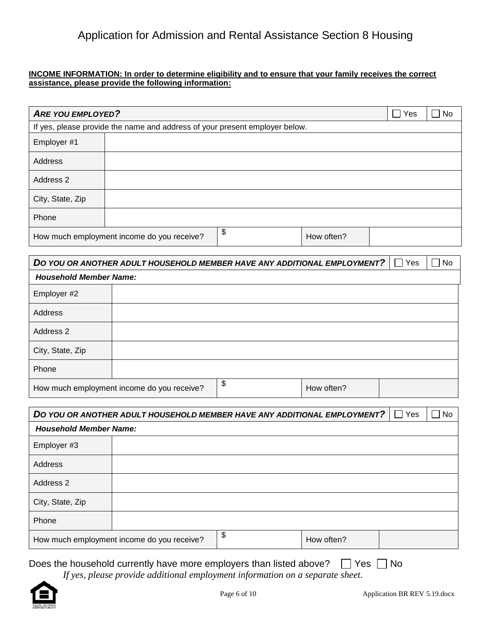## **INCOME INFORMATION: In order to determine eligibility and to ensure that your family receives the correct assistance, please provide the following information:**

| <b>ARE YOU EMPLOYED?</b>                   |                                                                             |    |            | Yes<br>$\blacksquare$ | <b>No</b> |
|--------------------------------------------|-----------------------------------------------------------------------------|----|------------|-----------------------|-----------|
|                                            | If yes, please provide the name and address of your present employer below. |    |            |                       |           |
| Employer #1                                |                                                                             |    |            |                       |           |
| Address                                    |                                                                             |    |            |                       |           |
| Address 2                                  |                                                                             |    |            |                       |           |
| City, State, Zip                           |                                                                             |    |            |                       |           |
| Phone                                      |                                                                             |    |            |                       |           |
| How much employment income do you receive? |                                                                             | \$ | How often? |                       |           |

|                                                                                                              | DO YOU OR ANOTHER ADULT HOUSEHOLD MEMBER HAVE ANY ADDITIONAL EMPLOYMENT? |  | Yes | $\Box$ No |
|--------------------------------------------------------------------------------------------------------------|--------------------------------------------------------------------------|--|-----|-----------|
|                                                                                                              |                                                                          |  |     |           |
| Employer #2                                                                                                  |                                                                          |  |     |           |
| Address                                                                                                      |                                                                          |  |     |           |
| <b>Household Member Name:</b><br>Address 2<br>\$<br>How much employment income do you receive?<br>How often? |                                                                          |  |     |           |
| City, State, Zip                                                                                             |                                                                          |  |     |           |
| Phone                                                                                                        |                                                                          |  |     |           |
|                                                                                                              |                                                                          |  |     |           |

|                               | DO YOU OR ANOTHER ADULT HOUSEHOLD MEMBER HAVE ANY ADDITIONAL EMPLOYMENT? |                  | Yes | ∏ No |
|-------------------------------|--------------------------------------------------------------------------|------------------|-----|------|
| <b>Household Member Name:</b> |                                                                          |                  |     |      |
| Employer #3                   |                                                                          |                  |     |      |
| Address                       |                                                                          |                  |     |      |
| Address 2                     |                                                                          |                  |     |      |
| City, State, Zip              |                                                                          |                  |     |      |
| Phone                         |                                                                          |                  |     |      |
|                               | How much employment income do you receive?                               | \$<br>How often? |     |      |

# Does the household currently have more employers than listed above?  $\Box$  Yes  $\Box$  No

*If yes, please provide additional employment information on a separate sheet.*

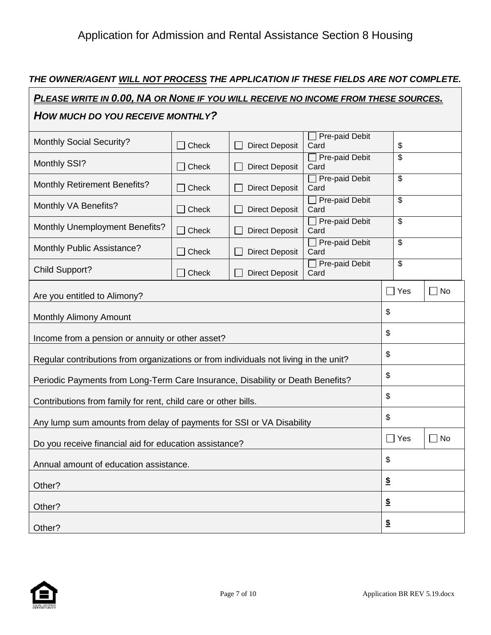## *THE OWNER/AGENT WILL NOT PROCESS THE APPLICATION IF THESE FIELDS ARE NOT COMPLETE.*

| <u>PLEASE WRITE IN 0.00, NA OR NONE IF YOU WILL RECEIVE NO INCOME FROM THESE SOURCES.</u> |              |                       |                               |                          |                    |
|-------------------------------------------------------------------------------------------|--------------|-----------------------|-------------------------------|--------------------------|--------------------|
| HOW MUCH DO YOU RECEIVE MONTHLY?                                                          |              |                       |                               |                          |                    |
| <b>Monthly Social Security?</b>                                                           | Check        | <b>Direct Deposit</b> | Pre-paid Debit<br>Card        | \$                       |                    |
| Monthly SSI?                                                                              | $\Box$ Check | <b>Direct Deposit</b> | $\Box$ Pre-paid Debit<br>Card | \$                       |                    |
| <b>Monthly Retirement Benefits?</b>                                                       | $\Box$ Check | <b>Direct Deposit</b> | $\Box$ Pre-paid Debit<br>Card | \$                       |                    |
| Monthly VA Benefits?                                                                      | Check        | <b>Direct Deposit</b> | Pre-paid Debit<br>Card        | \$                       |                    |
| <b>Monthly Unemployment Benefits?</b>                                                     | $\Box$ Check | <b>Direct Deposit</b> | Pre-paid Debit<br>Card        | \$                       |                    |
| Monthly Public Assistance?                                                                | Check        | <b>Direct Deposit</b> | $\Box$ Pre-paid Debit<br>Card | $\overline{\mathcal{S}}$ |                    |
| Child Support?                                                                            | Check        | <b>Direct Deposit</b> | $\Box$ Pre-paid Debit<br>Card | \$                       |                    |
| Are you entitled to Alimony?                                                              |              |                       |                               | $\Box$ Yes               | $\Box$ No          |
| Monthly Alimony Amount                                                                    |              |                       |                               | \$                       |                    |
| Income from a pension or annuity or other asset?                                          |              |                       |                               | \$                       |                    |
| Regular contributions from organizations or from individuals not living in the unit?      |              |                       | \$                            |                          |                    |
| Periodic Payments from Long-Term Care Insurance, Disability or Death Benefits?            |              |                       | \$                            |                          |                    |
| Contributions from family for rent, child care or other bills.                            |              |                       | \$                            |                          |                    |
| Any lump sum amounts from delay of payments for SSI or VA Disability                      |              |                       |                               | \$                       |                    |
| Do you receive financial aid for education assistance?                                    |              |                       |                               | $\Box$ Yes               | No<br>$\mathsf{L}$ |
| Annual amount of education assistance.                                                    |              |                       |                               | \$                       |                    |
| Other?                                                                                    |              |                       |                               | $\boldsymbol{\hat{z}}$   |                    |
| Other?                                                                                    |              |                       | $\boldsymbol{\hat{z}}$        |                          |                    |
| Other?                                                                                    |              |                       | $\boldsymbol{\mathsf{s}}$     |                          |                    |



 $\Gamma$ 

┑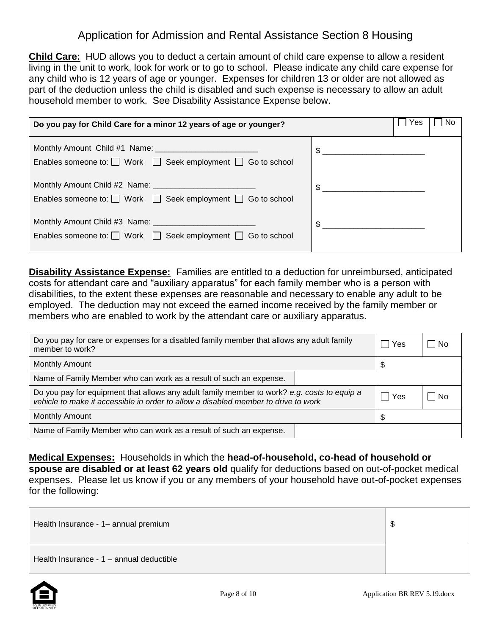**Child Care:** HUD allows you to deduct a certain amount of child care expense to allow a resident living in the unit to work, look for work or to go to school. Please indicate any child care expense for any child who is 12 years of age or younger. Expenses for children 13 or older are not allowed as part of the deduction unless the child is disabled and such expense is necessary to allow an adult household member to work. See Disability Assistance Expense below.

| Do you pay for Child Care for a minor 12 years of age or younger?          | Yes<br>No      |
|----------------------------------------------------------------------------|----------------|
| Enables someone to: $\Box$ Work $\Box$ Seek employment $\Box$ Go to school | $\frac{1}{2}$  |
| Enables someone to: $\Box$ Work $\Box$ Seek employment $\Box$ Go to school | $\frac{1}{2}$  |
| Enables someone to: $\Box$ Work $\Box$ Seek employment $\Box$ Go to school | $\mathfrak{S}$ |

**Disability Assistance Expense:** Families are entitled to a deduction for unreimbursed, anticipated costs for attendant care and "auxiliary apparatus" for each family member who is a person with disabilities, to the extent these expenses are reasonable and necessary to enable any adult to be employed. The deduction may not exceed the earned income received by the family member or members who are enabled to work by the attendant care or auxiliary apparatus.

| Do you pay for care or expenses for a disabled family member that allows any adult family<br>member to work?                                                                      |  | l Yes | – I No |
|-----------------------------------------------------------------------------------------------------------------------------------------------------------------------------------|--|-------|--------|
| <b>Monthly Amount</b>                                                                                                                                                             |  | \$.   |        |
| Name of Family Member who can work as a result of such an expense.                                                                                                                |  |       |        |
| Do you pay for equipment that allows any adult family member to work? e.g. costs to equip a<br>vehicle to make it accessible in order to allow a disabled member to drive to work |  | ∣ Yes | – I No |
| <b>Monthly Amount</b>                                                                                                                                                             |  |       |        |
| Name of Family Member who can work as a result of such an expense.                                                                                                                |  |       |        |

**Medical Expenses:** Households in which the **head-of-household, co-head of household or spouse are disabled or at least 62 years old** qualify for deductions based on out-of-pocket medical expenses. Please let us know if you or any members of your household have out-of-pocket expenses for the following:

| Health Insurance - 1- annual premium     | S |
|------------------------------------------|---|
| Health Insurance - 1 - annual deductible |   |

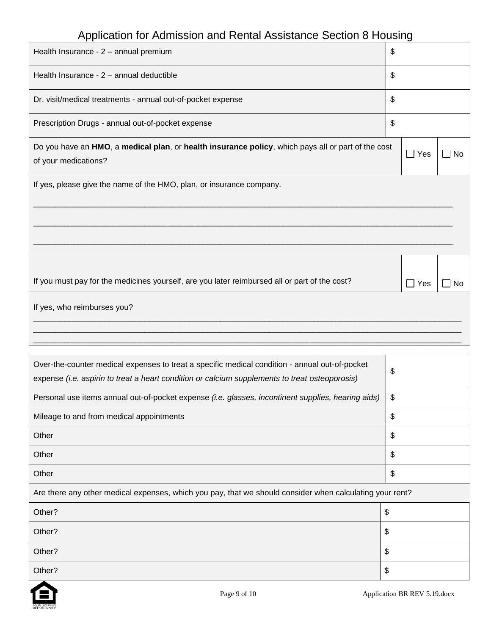| Health Insurance - 2 - annual premium                                                                                      | \$                    |           |
|----------------------------------------------------------------------------------------------------------------------------|-----------------------|-----------|
| Health Insurance - 2 - annual deductible                                                                                   | \$                    |           |
| Dr. visit/medical treatments - annual out-of-pocket expense                                                                | \$                    |           |
| Prescription Drugs - annual out-of-pocket expense                                                                          | \$                    |           |
| Do you have an HMO, a medical plan, or health insurance policy, which pays all or part of the cost<br>of your medications? | $\Box$ Yes            | <b>No</b> |
| If yes, please give the name of the HMO, plan, or insurance company.                                                       |                       |           |
| If you must pay for the medicines yourself, are you later reimbursed all or part of the cost?                              | Yes<br>$\blacksquare$ | No        |
| If yes, who reimburses you?                                                                                                |                       |           |

| Over-the-counter medical expenses to treat a specific medical condition - annual out-of-pocket<br>expense (i.e. aspirin to treat a heart condition or calcium supplements to treat osteoporosis) | \$ |
|--------------------------------------------------------------------------------------------------------------------------------------------------------------------------------------------------|----|
| Personal use items annual out-of-pocket expense (i.e. glasses, incontinent supplies, hearing aids)                                                                                               | \$ |
| Mileage to and from medical appointments                                                                                                                                                         | \$ |
| Other                                                                                                                                                                                            | \$ |
| Other                                                                                                                                                                                            | \$ |
| Other                                                                                                                                                                                            | \$ |
| Are there any other medical expenses, which you pay, that we should consider when calculating your rent?                                                                                         |    |
| Other?                                                                                                                                                                                           | \$ |
| Other?                                                                                                                                                                                           | \$ |
| Other?                                                                                                                                                                                           | \$ |
| Other?                                                                                                                                                                                           | \$ |